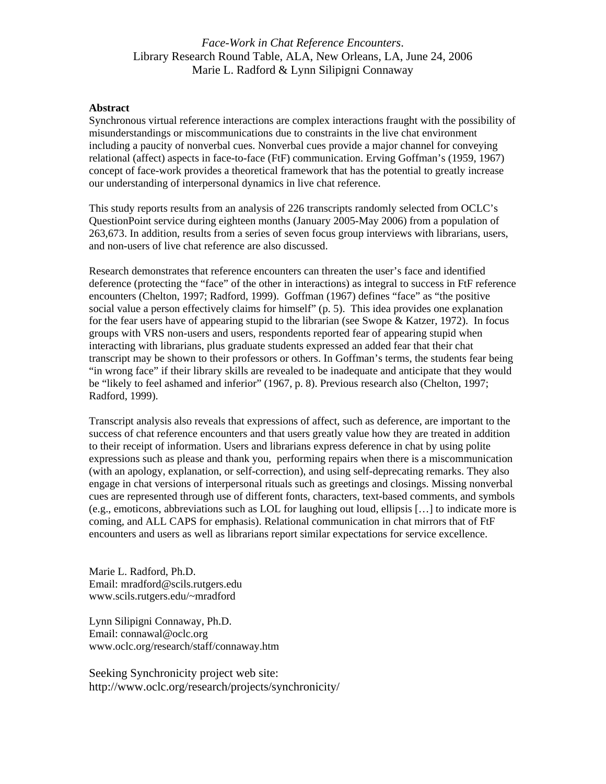#### **Abstract**

Synchronous virtual reference interactions are complex interactions fraught with the possibility of misunderstandings or miscommunications due to constraints in the live chat environment including a paucity of nonverbal cues. Nonverbal cues provide a major channel for conveying relational (affect) aspects in face-to-face (FtF) communication. Erving Goffman's (1959, 1967) concept of face-work provides a theoretical framework that has the potential to greatly increase our understanding of interpersonal dynamics in live chat reference.

This study reports results from an analysis of 226 transcripts randomly selected from OCLC's QuestionPoint service during eighteen months (January 2005-May 2006) from a population of 263,673. In addition, results from a series of seven focus group interviews with librarians, users, and non-users of live chat reference are also discussed.

Research demonstrates that reference encounters can threaten the user's face and identified deference (protecting the "face" of the other in interactions) as integral to success in FtF reference encounters (Chelton, 1997; Radford, 1999). Goffman (1967) defines "face" as "the positive social value a person effectively claims for himself" (p. 5). This idea provides one explanation for the fear users have of appearing stupid to the librarian (see Swope & Katzer, 1972). In focus groups with VRS non-users and users, respondents reported fear of appearing stupid when interacting with librarians, plus graduate students expressed an added fear that their chat transcript may be shown to their professors or others. In Goffman's terms, the students fear being "in wrong face" if their library skills are revealed to be inadequate and anticipate that they would be "likely to feel ashamed and inferior" (1967, p. 8). Previous research also (Chelton, 1997; Radford, 1999).

Transcript analysis also reveals that expressions of affect, such as deference, are important to the success of chat reference encounters and that users greatly value how they are treated in addition to their receipt of information. Users and librarians express deference in chat by using polite expressions such as please and thank you, performing repairs when there is a miscommunication (with an apology, explanation, or self-correction), and using self-deprecating remarks. They also engage in chat versions of interpersonal rituals such as greetings and closings. Missing nonverbal cues are represented through use of different fonts, characters, text-based comments, and symbols (e.g., emoticons, abbreviations such as LOL for laughing out loud, ellipsis […] to indicate more is coming, and ALL CAPS for emphasis). Relational communication in chat mirrors that of FtF encounters and users as well as librarians report similar expectations for service excellence.

Marie L. Radford, Ph.D. Email: mradford@scils.rutgers.edu www.scils.rutgers.edu/~mradford

Lynn Silipigni Connaway, Ph.D. Email: connawal@oclc.org www.oclc.org/research/staff/connaway.htm

Seeking Synchronicity project web site: http://www.oclc.org/research/projects/synchronicit[y/](http://www.oclc.org/research/projects/synchronicity/)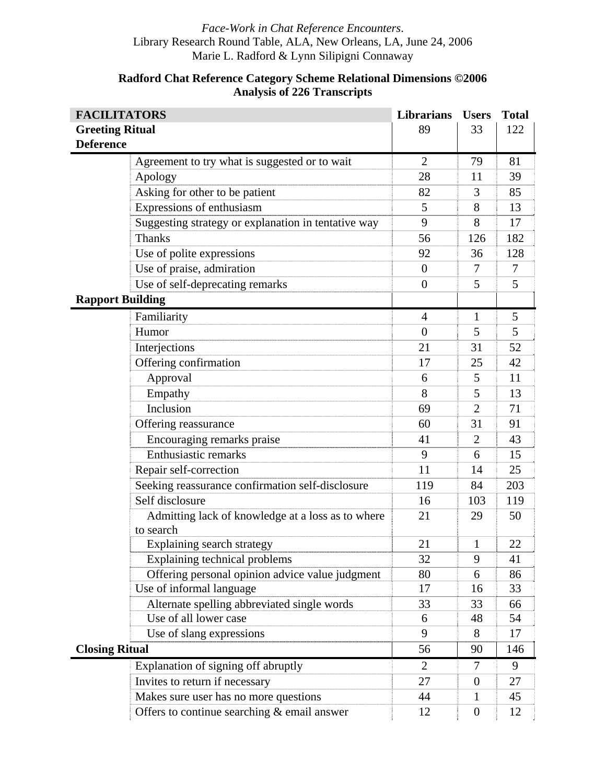| <b>FACILITATORS</b>     |                                                                | <b>Librarians</b> | <b>Users</b>   | <b>Total</b> |
|-------------------------|----------------------------------------------------------------|-------------------|----------------|--------------|
| <b>Greeting Ritual</b>  |                                                                | 89                | 33             | 122          |
| <b>Deference</b>        |                                                                |                   |                |              |
|                         | Agreement to try what is suggested or to wait                  | $\overline{2}$    | 79             | 81           |
|                         | Apology                                                        | 28                | 11             | 39           |
|                         | Asking for other to be patient                                 | 82                | 3              | 85           |
|                         | Expressions of enthusiasm                                      | 5                 | 8              | 13           |
|                         | Suggesting strategy or explanation in tentative way            | 9                 | 8              | 17           |
|                         | <b>Thanks</b>                                                  | 56                | 126            | 182          |
|                         | Use of polite expressions                                      | 92                | 36             | 128          |
|                         | Use of praise, admiration                                      | $\overline{0}$    | 7              | 7            |
|                         | Use of self-deprecating remarks                                | $\overline{0}$    | 5              | 5            |
| <b>Rapport Building</b> |                                                                |                   |                |              |
|                         | Familiarity                                                    | $\overline{4}$    | 1              | 5            |
|                         | Humor                                                          | $\overline{0}$    | 5              | 5            |
|                         | Interjections                                                  | 21                | 31             | 52           |
|                         | Offering confirmation                                          | 17                | 25             | 42           |
|                         | Approval                                                       | 6                 | 5              | 11           |
|                         | Empathy                                                        | 8                 | 5              | 13           |
|                         | Inclusion                                                      | 69                | $\overline{2}$ | 71           |
|                         | Offering reassurance                                           | 60                | 31             | 91           |
|                         | Encouraging remarks praise                                     | 41                | $\overline{2}$ | 43           |
|                         | <b>Enthusiastic remarks</b>                                    | 9                 | 6              | 15           |
|                         | Repair self-correction                                         | 11                | 14             | 25           |
|                         | Seeking reassurance confirmation self-disclosure               | 119               | 84             | 203          |
|                         | Self disclosure                                                | 16                | 103            | 119          |
|                         | Admitting lack of knowledge at a loss as to where<br>to search | 21                | 29             | 50           |
|                         | Explaining search strategy                                     | 21                | $\mathbf{1}$   | 22           |
|                         | Explaining technical problems                                  | 32                | 9              | 41           |
|                         | Offering personal opinion advice value judgment                | 80                | 6              | 86           |
|                         | Use of informal language                                       | 17                | 16             | 33           |
|                         | Alternate spelling abbreviated single words                    | 33                | 33             | 66           |
|                         | Use of all lower case                                          | 6                 | 48             | 54           |
|                         | Use of slang expressions                                       | 9                 | 8              | 17           |
| <b>Closing Ritual</b>   |                                                                | 56                | 90             | 146          |
|                         | Explanation of signing off abruptly                            | 2                 | $\tau$         | 9            |
|                         | Invites to return if necessary                                 | 27                | $\overline{0}$ | 27           |
|                         | Makes sure user has no more questions                          | 44                | 1              | 45           |
|                         | Offers to continue searching & email answer                    | 12                | $\overline{0}$ | 12           |

# **Radford Chat Reference Category Scheme Relational Dimensions ©2006 Analysis of 226 Transcripts**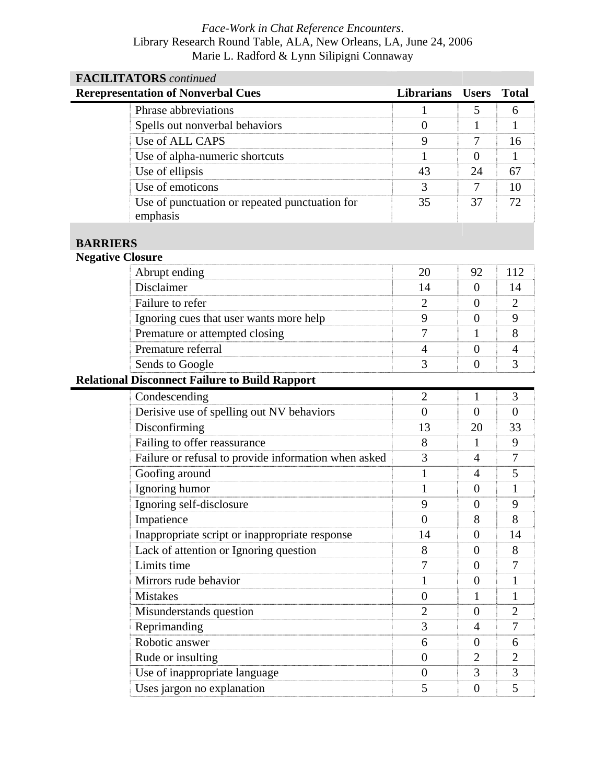| <b>FACILITATORS</b> continued                         |                                                      |                   |                  |                |  |  |
|-------------------------------------------------------|------------------------------------------------------|-------------------|------------------|----------------|--|--|
| <b>Rerepresentation of Nonverbal Cues</b>             |                                                      | <b>Librarians</b> | <b>Users</b>     | <b>Total</b>   |  |  |
| Phrase abbreviations                                  |                                                      | $\mathbf{1}$      | 5                | 6              |  |  |
| Spells out nonverbal behaviors                        |                                                      | $\overline{0}$    | 1                | 1              |  |  |
| Use of ALL CAPS                                       |                                                      | 9                 | 7                | 16             |  |  |
| Use of alpha-numeric shortcuts                        |                                                      | 1                 | $\overline{0}$   | 1              |  |  |
| Use of ellipsis                                       |                                                      | 43                | 24               | 67             |  |  |
| Use of emoticons                                      |                                                      | 3                 | 7                | 10             |  |  |
| emphasis                                              | Use of punctuation or repeated punctuation for       | 35                | 37               | 72             |  |  |
| <b>BARRIERS</b>                                       |                                                      |                   |                  |                |  |  |
| <b>Negative Closure</b>                               |                                                      |                   |                  |                |  |  |
| Abrupt ending                                         |                                                      | 20                | 92               | 112            |  |  |
| Disclaimer                                            |                                                      | 14                | $\overline{0}$   | 14             |  |  |
| Failure to refer                                      |                                                      | $\overline{2}$    | $\overline{0}$   | $\overline{2}$ |  |  |
| Ignoring cues that user wants more help               |                                                      | 9                 | $\overline{0}$   | 9              |  |  |
| Premature or attempted closing                        |                                                      | 7                 | 1                | 8              |  |  |
| Premature referral                                    |                                                      | $\overline{4}$    | $\overline{0}$   | 4              |  |  |
| Sends to Google                                       |                                                      | 3                 | $\overline{0}$   | 3              |  |  |
| <b>Relational Disconnect Failure to Build Rapport</b> |                                                      |                   |                  |                |  |  |
| Condescending                                         |                                                      | $\overline{2}$    | $\mathbf{1}$     | 3              |  |  |
| Derisive use of spelling out NV behaviors             |                                                      | $\theta$          | $\overline{0}$   | $\theta$       |  |  |
| Disconfirming                                         |                                                      | 13                | 20               | 33             |  |  |
| Failing to offer reassurance                          |                                                      | 8                 | $\mathbf{1}$     | 9              |  |  |
|                                                       | Failure or refusal to provide information when asked | 3                 | 4                | 7              |  |  |
| Goofing around                                        |                                                      | $\mathbf{1}$      | $\overline{4}$   | 5              |  |  |
| Ignoring humor                                        |                                                      | 1                 | $\overline{0}$   | $\mathbf{1}$   |  |  |
| Ignoring self-disclosure                              |                                                      | 9                 | $\overline{0}$   | 9              |  |  |
| Impatience                                            |                                                      | $\overline{0}$    | 8                | 8              |  |  |
|                                                       | Inappropriate script or inappropriate response       | 14                | $\boldsymbol{0}$ | 14             |  |  |
| Lack of attention or Ignoring question                |                                                      | 8                 | $\boldsymbol{0}$ | 8              |  |  |
| Limits time                                           |                                                      | 7                 | $\boldsymbol{0}$ | 7              |  |  |
| Mirrors rude behavior                                 |                                                      | 1                 | $\overline{0}$   | $\mathbf{1}$   |  |  |
| <b>Mistakes</b>                                       |                                                      | $\boldsymbol{0}$  | 1                | 1              |  |  |
| Misunderstands question                               |                                                      | $\overline{2}$    | $\overline{0}$   | $\overline{2}$ |  |  |
| Reprimanding                                          |                                                      | 3                 | $\overline{4}$   | $\overline{7}$ |  |  |
| Robotic answer                                        |                                                      | 6                 | $\theta$         | 6              |  |  |
| Rude or insulting                                     |                                                      | $\theta$          | $\overline{2}$   | $\overline{2}$ |  |  |
| Use of inappropriate language                         |                                                      | $\overline{0}$    | 3                | 3              |  |  |
| Uses jargon no explanation                            |                                                      | 5                 | $\boldsymbol{0}$ | 5              |  |  |